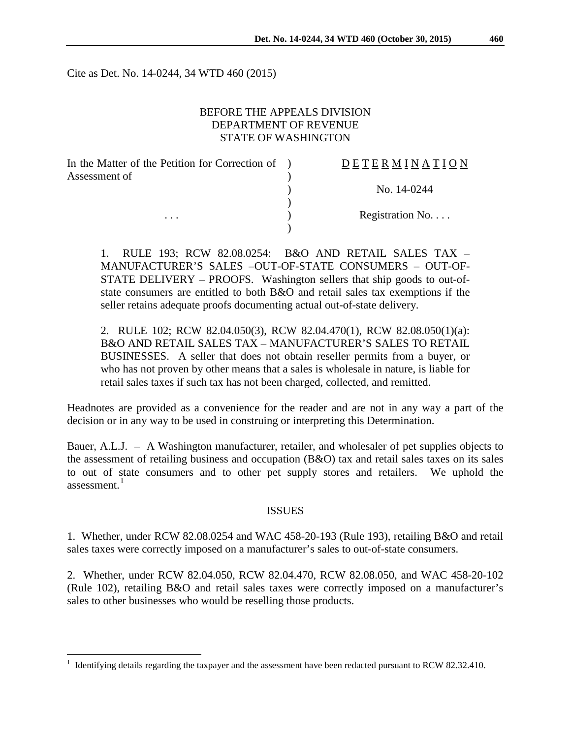Cite as Det. No. 14-0244, 34 WTD 460 (2015)

### BEFORE THE APPEALS DIVISION DEPARTMENT OF REVENUE STATE OF WASHINGTON

| In the Matter of the Petition for Correction of | <b>DETERMINATION</b> |
|-------------------------------------------------|----------------------|
| Assessment of                                   |                      |
|                                                 | No. 14-0244          |
|                                                 |                      |
| $\cdots$                                        | Registration No      |
|                                                 |                      |

1. RULE 193; RCW 82.08.0254: B&O AND RETAIL SALES TAX – MANUFACTURER'S SALES –OUT-OF-STATE CONSUMERS – OUT-OF-STATE DELIVERY – PROOFS. Washington sellers that ship goods to out-ofstate consumers are entitled to both B&O and retail sales tax exemptions if the seller retains adequate proofs documenting actual out-of-state delivery.

2. RULE 102; RCW 82.04.050(3), RCW 82.04.470(1), RCW 82.08.050(1)(a): B&O AND RETAIL SALES TAX – MANUFACTURER'S SALES TO RETAIL BUSINESSES. A seller that does not obtain reseller permits from a buyer, or who has not proven by other means that a sales is wholesale in nature, is liable for retail sales taxes if such tax has not been charged, collected, and remitted.

Headnotes are provided as a convenience for the reader and are not in any way a part of the decision or in any way to be used in construing or interpreting this Determination.

Bauer, A.L.J. – A Washington manufacturer, retailer, and wholesaler of pet supplies objects to the assessment of retailing business and occupation (B&O) tax and retail sales taxes on its sales to out of state consumers and to other pet supply stores and retailers. We uphold the assessment. $1$ 

#### ISSUES

1. Whether, under RCW 82.08.0254 and WAC 458-20-193 (Rule 193), retailing B&O and retail sales taxes were correctly imposed on a manufacturer's sales to out-of-state consumers.

2. Whether, under RCW 82.04.050, RCW 82.04.470, RCW 82.08.050, and WAC 458-20-102 (Rule 102), retailing B&O and retail sales taxes were correctly imposed on a manufacturer's sales to other businesses who would be reselling those products.

<span id="page-0-0"></span> <sup>1</sup> Identifying details regarding the taxpayer and the assessment have been redacted pursuant to RCW 82.32.410.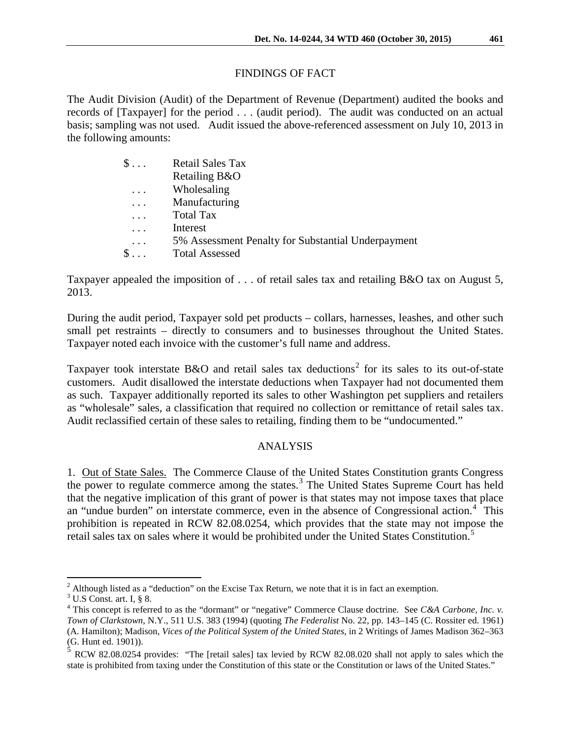# FINDINGS OF FACT

The Audit Division (Audit) of the Department of Revenue (Department) audited the books and records of [Taxpayer] for the period . . . (audit period). The audit was conducted on an actual basis; sampling was not used. Audit issued the above-referenced assessment on July 10, 2013 in the following amounts:

| $\$\ldots$ | <b>Retail Sales Tax</b>                            |
|------------|----------------------------------------------------|
|            | Retailing B&O                                      |
| .          | Wholesaling                                        |
| $\cdots$   | Manufacturing                                      |
|            | <b>Total Tax</b>                                   |
|            | Interest                                           |
| $\cdots$   | 5% Assessment Penalty for Substantial Underpayment |
| $\$\ldots$ | <b>Total Assessed</b>                              |

Taxpayer appealed the imposition of . . . of retail sales tax and retailing B&O tax on August 5, 2013.

During the audit period, Taxpayer sold pet products – collars, harnesses, leashes, and other such small pet restraints – directly to consumers and to businesses throughout the United States. Taxpayer noted each invoice with the customer's full name and address.

Taxpayer took interstate B&O and retail sales tax deductions<sup>[2](#page-1-0)</sup> for its sales to its out-of-state customers. Audit disallowed the interstate deductions when Taxpayer had not documented them as such. Taxpayer additionally reported its sales to other Washington pet suppliers and retailers as "wholesale" sales, a classification that required no collection or remittance of retail sales tax. Audit reclassified certain of these sales to retailing, finding them to be "undocumented."

# ANALYSIS

1. Out of State Sales. The Commerce Clause of the United States Constitution grants Congress the power to regulate commerce among the states.<sup>[3](#page-1-1)</sup> The United States Supreme Court has held that the negative implication of this grant of power is that states may not impose taxes that place an "undue burden" on interstate commerce, even in the absence of Congressional action.<sup>[4](#page-1-2)</sup> This prohibition is repeated in RCW 82.08.0254, which provides that the state may not impose the retail sales tax on sales where it would be prohibited under the United States Constitution.<sup>[5](#page-1-3)</sup>

<span id="page-1-0"></span> $2$  Although listed as a "deduction" on the Excise Tax Return, we note that it is in fact an exemption.

 $3$  U.S Const. art. I, § 8.

<span id="page-1-2"></span><span id="page-1-1"></span><sup>&</sup>lt;sup>4</sup> This concept is referred to as the "dormant" or "negative" Commerce Clause doctrine. See *C&A Carbone, Inc. v. Town of Clarkstown*, N.Y., 511 U.S. 383 (1994) (quoting *The Federalist* No. 22, pp. 143–145 (C. Rossiter ed. 1961) (A. Hamilton); Madison, *Vices of the Political System of the United States*, in 2 Writings of James Madison 362–363 (G. Hunt ed. 1901)).

<span id="page-1-3"></span><sup>5</sup> RCW 82.08.0254 provides: "The [retail sales] tax levied by RCW 82.08.020 shall not apply to sales which the state is prohibited from taxing under the Constitution of this state or the Constitution or laws of the United States."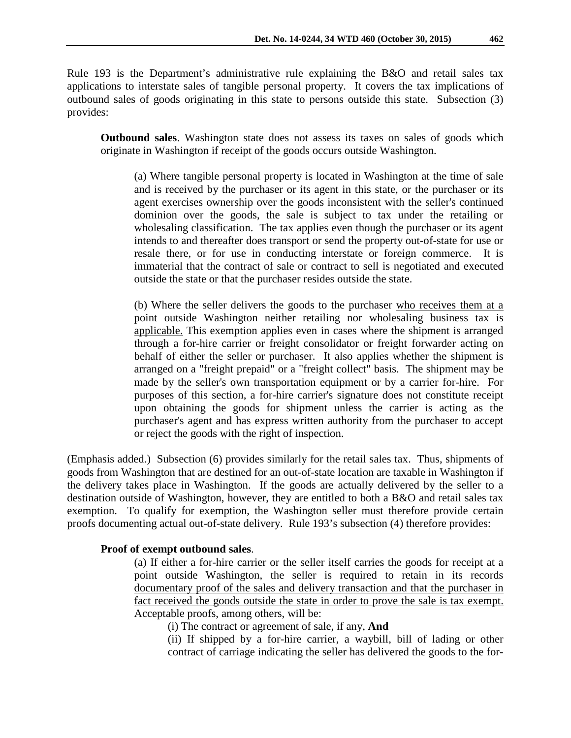Rule 193 is the Department's administrative rule explaining the B&O and retail sales tax applications to interstate sales of tangible personal property. It covers the tax implications of outbound sales of goods originating in this state to persons outside this state. Subsection (3) provides:

**Outbound sales**. Washington state does not assess its taxes on sales of goods which originate in Washington if receipt of the goods occurs outside Washington.

(a) Where tangible personal property is located in Washington at the time of sale and is received by the purchaser or its agent in this state, or the purchaser or its agent exercises ownership over the goods inconsistent with the seller's continued dominion over the goods, the sale is subject to tax under the retailing or wholesaling classification. The tax applies even though the purchaser or its agent intends to and thereafter does transport or send the property out-of-state for use or resale there, or for use in conducting interstate or foreign commerce. It is immaterial that the contract of sale or contract to sell is negotiated and executed outside the state or that the purchaser resides outside the state.

(b) Where the seller delivers the goods to the purchaser who receives them at a point outside Washington neither retailing nor wholesaling business tax is applicable. This exemption applies even in cases where the shipment is arranged through a for-hire carrier or freight consolidator or freight forwarder acting on behalf of either the seller or purchaser. It also applies whether the shipment is arranged on a "freight prepaid" or a "freight collect" basis. The shipment may be made by the seller's own transportation equipment or by a carrier for-hire. For purposes of this section, a for-hire carrier's signature does not constitute receipt upon obtaining the goods for shipment unless the carrier is acting as the purchaser's agent and has express written authority from the purchaser to accept or reject the goods with the right of inspection.

(Emphasis added.) Subsection (6) provides similarly for the retail sales tax. Thus, shipments of goods from Washington that are destined for an out-of-state location are taxable in Washington if the delivery takes place in Washington. If the goods are actually delivered by the seller to a destination outside of Washington, however, they are entitled to both a B&O and retail sales tax exemption. To qualify for exemption, the Washington seller must therefore provide certain proofs documenting actual out-of-state delivery. Rule 193's subsection (4) therefore provides:

# **Proof of exempt outbound sales**.

(a) If either a for-hire carrier or the seller itself carries the goods for receipt at a point outside Washington, the seller is required to retain in its records documentary proof of the sales and delivery transaction and that the purchaser in fact received the goods outside the state in order to prove the sale is tax exempt. Acceptable proofs, among others, will be:

(i) The contract or agreement of sale, if any, **And**

(ii) If shipped by a for-hire carrier, a waybill, bill of lading or other contract of carriage indicating the seller has delivered the goods to the for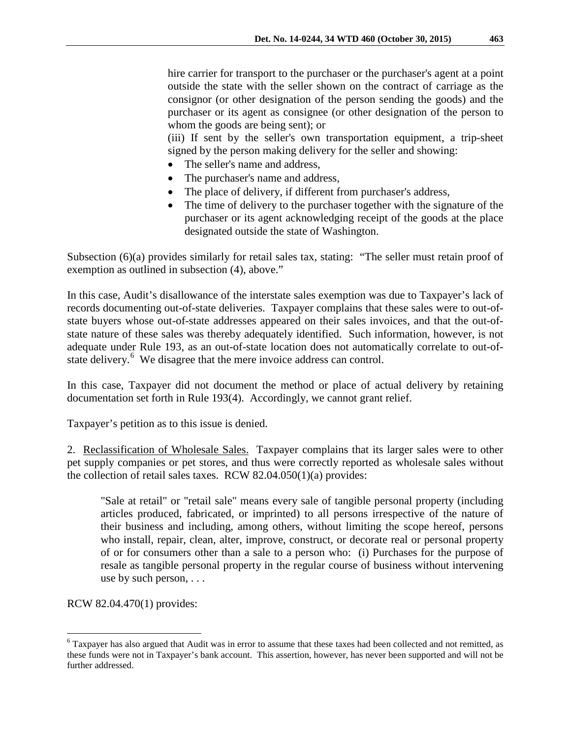hire carrier for transport to the purchaser or the purchaser's agent at a point outside the state with the seller shown on the contract of carriage as the consignor (or other designation of the person sending the goods) and the purchaser or its agent as consignee (or other designation of the person to whom the goods are being sent); or

(iii) If sent by the seller's own transportation equipment, a trip-sheet signed by the person making delivery for the seller and showing:

- The seller's name and address,
- The purchaser's name and address,
- The place of delivery, if different from purchaser's address,
- The time of delivery to the purchaser together with the signature of the purchaser or its agent acknowledging receipt of the goods at the place designated outside the state of Washington.

Subsection (6)(a) provides similarly for retail sales tax, stating: "The seller must retain proof of exemption as outlined in subsection (4), above."

In this case, Audit's disallowance of the interstate sales exemption was due to Taxpayer's lack of records documenting out-of-state deliveries. Taxpayer complains that these sales were to out-ofstate buyers whose out-of-state addresses appeared on their sales invoices, and that the out-ofstate nature of these sales was thereby adequately identified. Such information, however, is not adequate under Rule 193, as an out-of-state location does not automatically correlate to out-of-state delivery.<sup>[6](#page-3-0)</sup> We disagree that the mere invoice address can control.

In this case, Taxpayer did not document the method or place of actual delivery by retaining documentation set forth in Rule 193(4). Accordingly, we cannot grant relief.

Taxpayer's petition as to this issue is denied.

2. Reclassification of Wholesale Sales. Taxpayer complains that its larger sales were to other pet supply companies or pet stores, and thus were correctly reported as wholesale sales without the collection of retail sales taxes. RCW 82.04.050(1)(a) provides:

"Sale at retail" or "retail sale" means every sale of tangible personal property (including articles produced, fabricated, or imprinted) to all persons irrespective of the nature of their business and including, among others, without limiting the scope hereof, persons who install, repair, clean, alter, improve, construct, or decorate real or personal property of or for consumers other than a sale to a person who: (i) Purchases for the purpose of resale as tangible personal property in the regular course of business without intervening use by such person, . . .

RCW 82.04.470(1) provides:

<span id="page-3-0"></span> <sup>6</sup> Taxpayer has also argued that Audit was in error to assume that these taxes had been collected and not remitted, as these funds were not in Taxpayer's bank account. This assertion, however, has never been supported and will not be further addressed.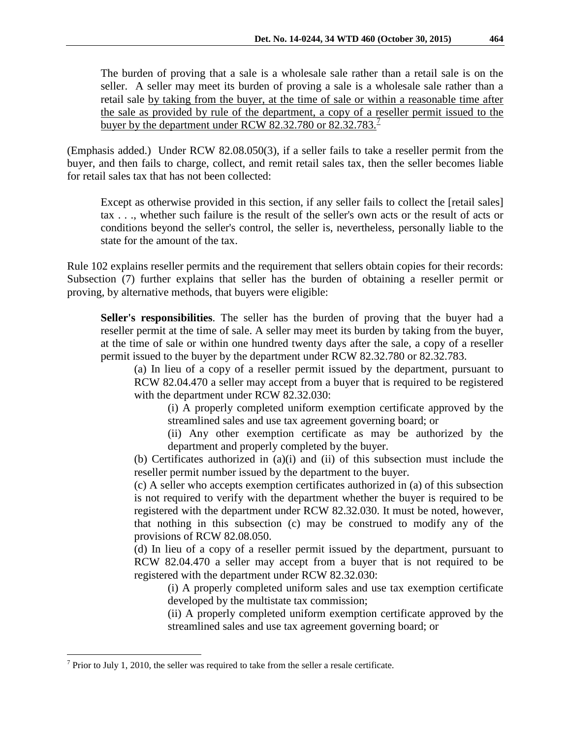The burden of proving that a sale is a wholesale sale rather than a retail sale is on the seller. A seller may meet its burden of proving a sale is a wholesale sale rather than a retail sale by taking from the buyer, at the time of sale or within a reasonable time after the sale as provided by rule of the department, a copy of a reseller permit issued to the buyer by the department under RCW 82.32.[7](#page-4-0)80 or  $82.32.783$ <sup>1</sup>

(Emphasis added.) Under RCW 82.08.050(3), if a seller fails to take a reseller permit from the buyer, and then fails to charge, collect, and remit retail sales tax, then the seller becomes liable for retail sales tax that has not been collected:

Except as otherwise provided in this section, if any seller fails to collect the [retail sales] tax . . ., whether such failure is the result of the seller's own acts or the result of acts or conditions beyond the seller's control, the seller is, nevertheless, personally liable to the state for the amount of the tax.

Rule 102 explains reseller permits and the requirement that sellers obtain copies for their records: Subsection (7) further explains that seller has the burden of obtaining a reseller permit or proving, by alternative methods, that buyers were eligible:

**Seller's responsibilities**. The seller has the burden of proving that the buyer had a reseller permit at the time of sale. A seller may meet its burden by taking from the buyer, at the time of sale or within one hundred twenty days after the sale, a copy of a reseller permit issued to the buyer by the department under RCW 82.32.780 or 82.32.783.

(a) In lieu of a copy of a reseller permit issued by the department, pursuant to RCW 82.04.470 a seller may accept from a buyer that is required to be registered with the department under RCW 82.32.030:

(i) A properly completed uniform exemption certificate approved by the streamlined sales and use tax agreement governing board; or

(ii) Any other exemption certificate as may be authorized by the department and properly completed by the buyer.

(b) Certificates authorized in (a)(i) and (ii) of this subsection must include the reseller permit number issued by the department to the buyer.

(c) A seller who accepts exemption certificates authorized in (a) of this subsection is not required to verify with the department whether the buyer is required to be registered with the department under RCW 82.32.030. It must be noted, however, that nothing in this subsection (c) may be construed to modify any of the provisions of RCW 82.08.050.

(d) In lieu of a copy of a reseller permit issued by the department, pursuant to RCW 82.04.470 a seller may accept from a buyer that is not required to be registered with the department under RCW 82.32.030:

(i) A properly completed uniform sales and use tax exemption certificate developed by the multistate tax commission;

(ii) A properly completed uniform exemption certificate approved by the streamlined sales and use tax agreement governing board; or

<span id="page-4-0"></span> $<sup>7</sup>$  Prior to July 1, 2010, the seller was required to take from the seller a resale certificate.</sup>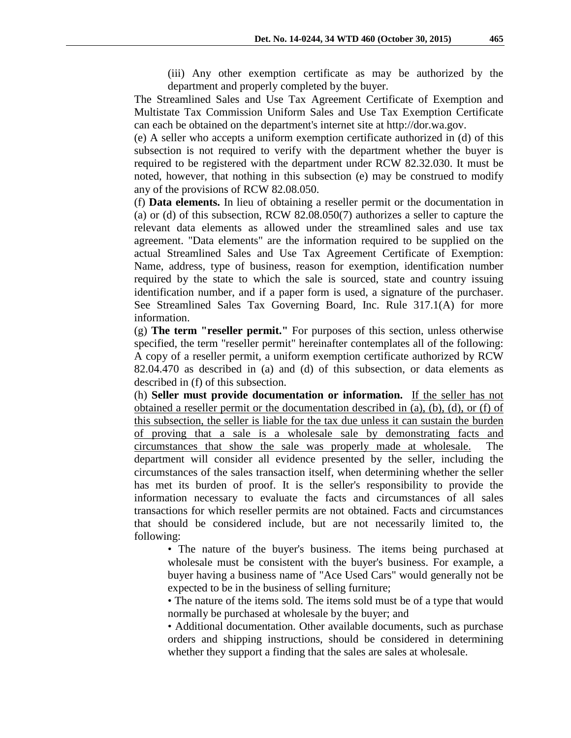(iii) Any other exemption certificate as may be authorized by the department and properly completed by the buyer.

The Streamlined Sales and Use Tax Agreement Certificate of Exemption and Multistate Tax Commission Uniform Sales and Use Tax Exemption Certificate can each be obtained on the department's internet site at http://dor.wa.gov.

(e) A seller who accepts a uniform exemption certificate authorized in (d) of this subsection is not required to verify with the department whether the buyer is required to be registered with the department under RCW 82.32.030. It must be noted, however, that nothing in this subsection (e) may be construed to modify any of the provisions of RCW 82.08.050.

(f) **Data elements.** In lieu of obtaining a reseller permit or the documentation in (a) or (d) of this subsection, RCW 82.08.050(7) authorizes a seller to capture the relevant data elements as allowed under the streamlined sales and use tax agreement. "Data elements" are the information required to be supplied on the actual Streamlined Sales and Use Tax Agreement Certificate of Exemption: Name, address, type of business, reason for exemption, identification number required by the state to which the sale is sourced, state and country issuing identification number, and if a paper form is used, a signature of the purchaser. See Streamlined Sales Tax Governing Board, Inc. Rule 317.1(A) for more information.

(g) **The term "reseller permit."** For purposes of this section, unless otherwise specified, the term "reseller permit" hereinafter contemplates all of the following: A copy of a reseller permit, a uniform exemption certificate authorized by RCW 82.04.470 as described in (a) and (d) of this subsection, or data elements as described in (f) of this subsection.

(h) **Seller must provide documentation or information.** If the seller has not obtained a reseller permit or the documentation described in (a), (b), (d), or (f) of this subsection, the seller is liable for the tax due unless it can sustain the burden of proving that a sale is a wholesale sale by demonstrating facts and circumstances that show the sale was properly made at wholesale. The department will consider all evidence presented by the seller, including the circumstances of the sales transaction itself, when determining whether the seller has met its burden of proof. It is the seller's responsibility to provide the information necessary to evaluate the facts and circumstances of all sales transactions for which reseller permits are not obtained. Facts and circumstances that should be considered include, but are not necessarily limited to, the following:

• The nature of the buyer's business. The items being purchased at wholesale must be consistent with the buyer's business. For example, a buyer having a business name of "Ace Used Cars" would generally not be expected to be in the business of selling furniture;

• The nature of the items sold. The items sold must be of a type that would normally be purchased at wholesale by the buyer; and

• Additional documentation. Other available documents, such as purchase orders and shipping instructions, should be considered in determining whether they support a finding that the sales are sales at wholesale.